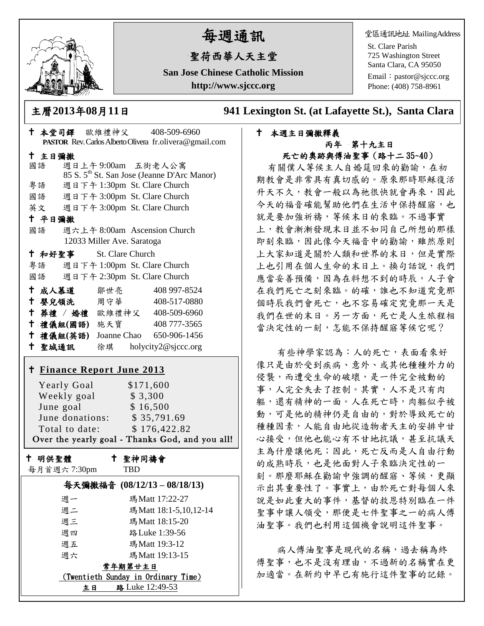

# 每週通訊

## 聖荷西華人天主堂

**San Jose Chinese Catholic Mission http://www.sjccc.org**

堂區通訊地址 MailingAddress

St. Clare Parish 725 Washington Street Santa Clara, CA 95050

Email: [pastor@sjccc.org](mailto:pastor@sjccc.org) Phone: (408) 758-8961

主曆**2013**年**08**月**11**日 **941 Lexington St. (at Lafayette St.), Santa Clara** 

#### 本週主日彌撒釋義 丙年 第十九主日 死亡的奧跡與傅油聖事(路十二 35~40)

有關僕人等候主人自婚筵回來的勸諭,在初 期教會是非常具有真切感的。原來那時耶穌復活 升天不久,教會一般以為祂很快就會再來,因此 今天的福音確能幫助他們在生活中保持醒寤,也 就是要加強祈禱,等候末日的來臨。不過事實 上,教會漸漸發現末日並不如同自己所想的那樣 即刻來臨,因此像今天福音中的勸諭,雖然原則 上大家知道是關於人類和世界的末日,但是實際 上也引用在個人生命的末日上。換句話說,我們 應當妥善預備,因為在料想不到的時辰,人子會 在我們死亡之刻來臨。的確,誰也不知道究竟那 個時辰我們會死亡,也不容易確定究竟那一天是 我們在世的末日。另一方面,死亡是人生旅程相 當決定性的一刻,怎能不保持醒寤等候它呢?

有些神學家認為:人的死亡,表面看來好 像只是由於受到疾病、意外、或其他種種外力的 侵襲,而遭受生命的破壞,是一件完全被動的 事,人完全失去了控制。其實,人不是只有肉 軀,還有精神的一面。人在死亡時,肉軀似乎被 動,可是他的精神仍是自由的,對於導致死亡的 種種因素,人能自由地從造物者天主的安排中甘 心接受,但他也能心有不甘地抗議,甚至抗議天 主為什麼讓他死;因此,死亡反而是人自由行動 的成熟時辰,也是他面對人子來臨決定性的一 刻。那麼耶穌在勸諭中強調的醒寤、等候,更顯 示出其重要性了。事實上,由於死亡對每個人來 說是如此重大的事件,基督的救恩特別臨在一件 聖事中讓人領受,那便是七件聖事之一的病人傅 油聖事。我們也利用這個機會說明這件聖事。

病人傅油聖事是現代的名稱,過去稱為終 傅聖事,也不是沒有理由,不過新的名稱實在更 加適當。在新約中早已有施行這件聖事的記錄。

| † 本堂司鐸 歐維禮神父 408-509-6960                                     |
|---------------------------------------------------------------|
| PASTOR Rev. Carlos Alberto Olivera fr.olivera@gmail.com       |
| 十 主日彌撒<br>週日上午9:00am 五街老人公寓                                   |
| 國語<br>85 S. 5 <sup>th</sup> St. San Jose (Jeanne D'Arc Manor) |
| 週日下午 1:30pm St. Clare Church<br>粤語                            |
| 國語 週日下午 3:00pm St. Clare Church                               |
| 英文 週日下午 3:00pm St. Clare Church                               |
| 十 平日彌撒                                                        |
| 國語<br>週六上午 8:00am Ascension Church                            |
| 12033 Miller Ave. Saratoga                                    |
| 十 和好聖事<br>St. Clare Church                                    |
| 粤語 週日下午 1:00pm St. Clare Church                               |
| 國語 週日下午 2:30pm St. Clare Church                               |
| ← 成人慕道   鄒世亮<br>408 997-8524                                  |
| ← 嬰兒領洗 周守華<br>408-517-0880                                    |
| † 葬禮 / 婚禮 歐維禮神父 408-509-6960                                  |
| 十 禮儀組(國語) 施天寶<br>408 777-3565                                 |
| † 禮儀組(英語) Joanne Chao 650-906-1456                            |
| + 聖城通訊 徐琪 holycity2@sjccc.org                                 |
| † Finance Report June 2013                                    |
|                                                               |
| <b>Yearly Goal</b><br>\$171,600<br>Weekly goal<br>\$ 3,300    |
| June goal<br>\$16,500                                         |
| June goal 5 16,500<br>June donations: \$ 35,791.69            |
| \$176,422.82<br>Total to date:                                |
| Over the yearly goal - Thanks God, and you all!               |
| ← 聖神同禱會<br>十 明供聖體                                             |
| 每月首週六7:30pm<br><b>TBD</b>                                     |
| 每天彌撒福音 (08/12/13-08/18/13)                                    |
| 瑪Matt 17:22-27<br>週一                                          |

週二 瑪Matt 18:1-5,10,12-14

週三 瑪Matt 18:15-20 週四 路Luke 1:39-56 週五 瑪Matt 19:3-12 週六 瑪Matt 19:13-15 常年期第廿主日 (Twentieth Sunday in Ordinary Time) 主日 路 Luke 12:49-53